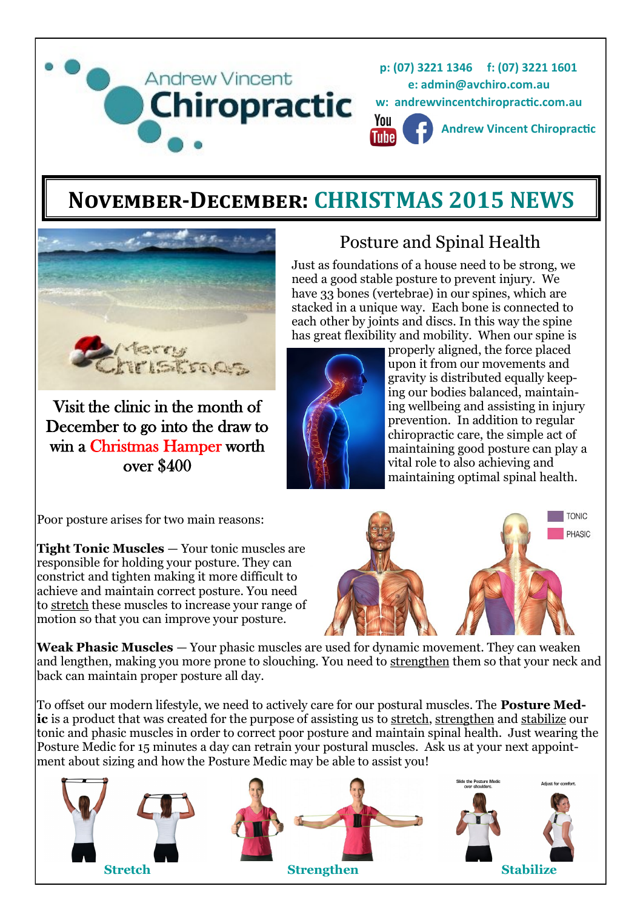

# **November-December: CHRISTMAS 2015 NEWS**



Visit the clinic in the month of December to go into the draw to win a Christmas Hamper worth over \$400



each other by joints and discs. In this way the spine has great flexibility and mobility. When our spine is properly aligned, the force placed upon it from our movements and gravity is distributed equally keeping our bodies balanced, maintaining wellbeing and assisting in injury prevention. In addition to regular chiropractic care, the simple act of maintaining good posture can play a vital role to also achieving and maintaining optimal spinal health.

Posture and Spinal Health

Just as foundations of a house need to be strong, we need a good stable posture to prevent injury. We have 33 bones (vertebrae) in our spines, which are stacked in a unique way. Each bone is connected to

Poor posture arises for two main reasons:

**Tight Tonic Muscles** — Your tonic muscles are responsible for holding your posture. They can constrict and tighten making it more difficult to achieve and maintain correct posture. You need to [stretch](http://www.posturemedic.com/index.php?content=stretch) these muscles to increase your range of motion so that you can improve your posture.



**Weak Phasic Muscles** — Your phasic muscles are used for dynamic movement. They can weaken and lengthen, making you more prone to slouching. You need to [strengthen](http://www.posturemedic.com/index.php?content=strengthen) them so that your neck and back can maintain proper posture all day.

To offset our modern lifestyle, we need to actively care for our postural muscles. The **Posture Medic** is a product that was created for the purpose of assisting us to [stretch,](http://www.posturemedic.com/index.php?content=stretch) [strengthen](http://www.posturemedic.com/index.php?content=strengthen) and [stabilize](http://www.posturemedic.com/index.php?content=stabilize) our tonic and phasic muscles in order to correct poor posture and maintain spinal health. Just wearing the Posture Medic for 15 minutes a day can retrain your postural muscles. Ask us at your next appointment about sizing and how the Posture Medic may be able to assist you!